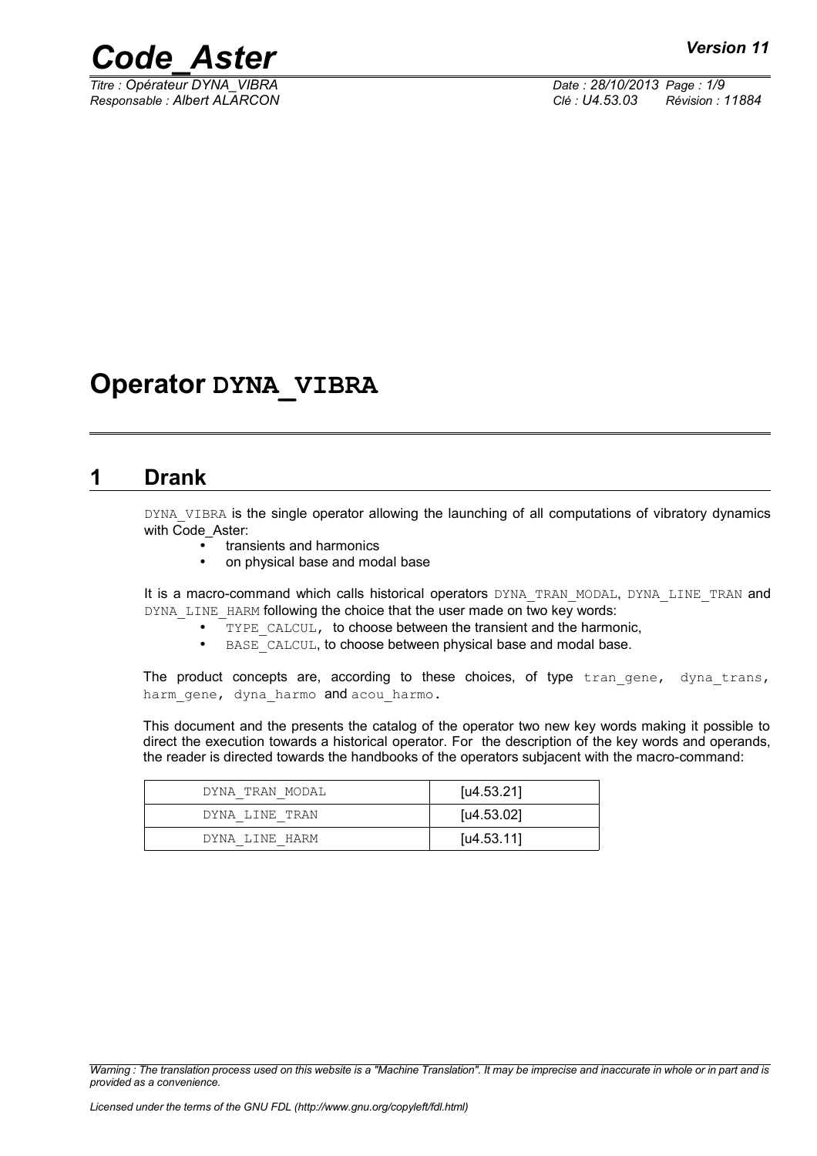

*Titre : Opérateur DYNA\_VIBRA Date : 28/10/2013 Page : 1/9 Responsable : Albert ALARCON Clé : U4.53.03 Révision : 11884*

## **Operator DYNA\_VIBRA**

### **1 Drank**

DYNA VIBRA is the single operator allowing the launching of all computations of vibratory dynamics with Code\_Aster:

- transients and harmonics
- on physical base and modal base

It is a macro-command which calls historical operators DYNA\_TRAN\_MODAL, DYNA\_LINE\_TRAN and DYNA LINE HARM following the choice that the user made on two key words:

- TYPE CALCUL, to choose between the transient and the harmonic,
- BASE CALCUL, to choose between physical base and modal base.

The product concepts are, according to these choices, of type  $tran$  gene, dyna trans, harm gene, dyna harmo and acou harmo.

This document and the presents the catalog of the operator two new key words making it possible to direct the execution towards a historical operator. For the description of the key words and operands, the reader is directed towards the handbooks of the operators subjacent with the macro-command:

| DYNA TRAN MODAL | [u4.53.21]          |
|-----------------|---------------------|
| DYNA LINE TRAN  | [ <i>u</i> 4.53.02] |
| DYNA LINE HARM  | [ $\mu$ 4.53.11]    |

*Warning : The translation process used on this website is a "Machine Translation". It may be imprecise and inaccurate in whole or in part and is provided as a convenience.*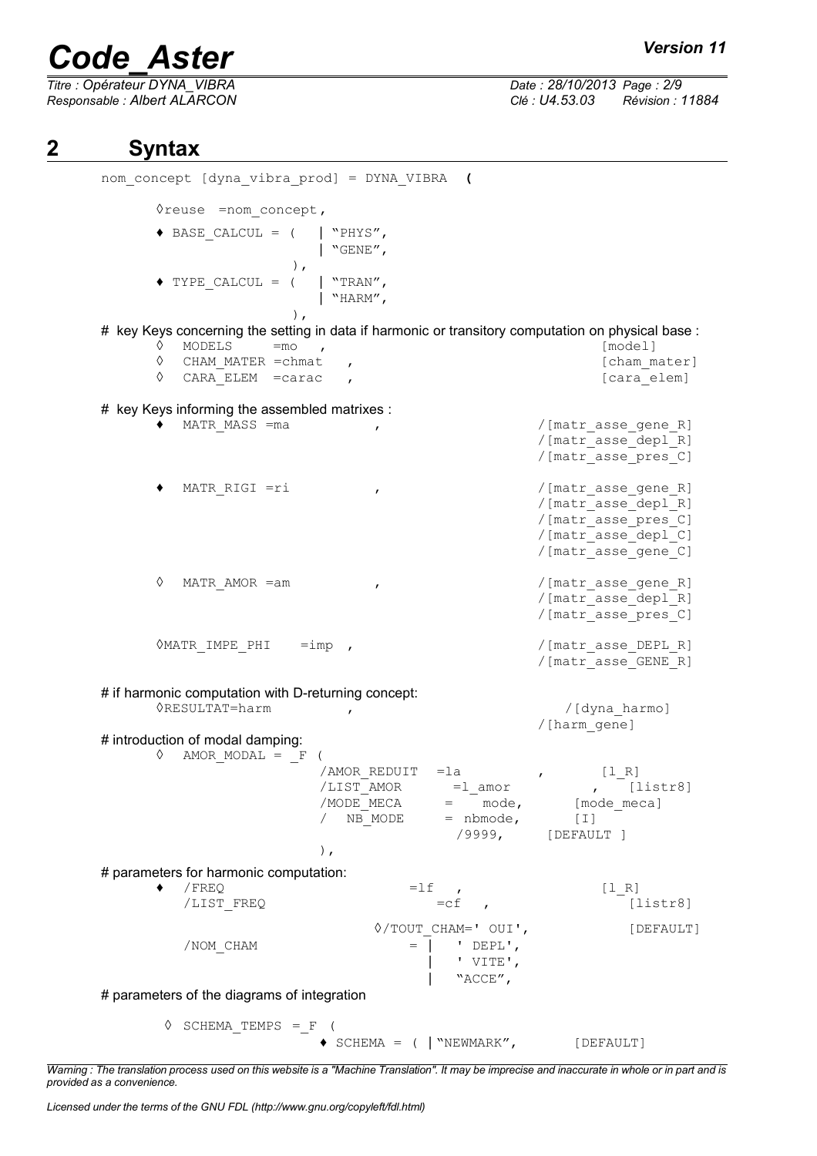*Titre : Opérateur DYNA\_VIBRA Date : 28/10/2013 Page : 2/9*

*Responsable : Albert ALARCON Clé : U4.53.03 Révision : 11884*

### **2 Syntax**

nom\_concept [dyna\_vibra\_prod] = DYNA\_VIBRA **(** ◊reuse =nom\_concept, ♦ BASE\_CALCUL = ( | "PHYS", | "GENE", ),  $\blacklozenge$  TYPE CALCUL = ( | "TRAN", | "HARM", ), # key Keys concerning the setting in data if harmonic or transitory computation on physical base :  $\circ$  MODELS = mo , ◊ CHAM\_MATER =chmat , [cham\_mater] ◊ CARA\_ELEM =carac , [cara\_elem] # key Keys informing the assembled matrixes : ♦ MATR\_MASS =ma , /[matr\_asse\_gene\_R] /[matr\_asse\_depl\_R] /[matr\_asse\_pres\_C] MATR\_RIGI =ri , the matrix of  $/$ [matr\_asse\_gene\_R] /[matr\_asse\_depl\_R] /[matr\_asse\_pres\_C] /[matr\_asse\_depl\_C] /[matr\_asse\_gene\_C] ◊ MATR\_AMOR =am , /[matr\_asse\_gene\_R] /[matr\_asse\_depl\_R] /[matr\_asse\_pres\_C] ◊MATR\_IMPE\_PHI =imp , /[matr\_asse\_DEPL\_R] /[matr\_asse\_GENE\_R] # if harmonic computation with D-returning concept: ◊RESULTAT=harm , /[dyna\_harmo] /[harm\_gene] # introduction of modal damping:  $\Diamond$  AMOR MODAL =  $_F$  ( /AMOR\_REDUIT =la , [l\_R]  $/LIST\_AMOR$  =  $l\_amor$ <br> $/MODE~MECA$  =  $mode,$  $/MODE$ <sup>-</sup>MECA = mode, [mode\_meca]<br>
/ NB MODE = nbmode, [I] = nbmode, /9999, [DEFAULT ] ), # parameters for harmonic computation:  $\begin{array}{cccc} \bullet & / \text{FREQ} & = & \text{If} & , & \text{[1_R]} \\ / \text{LIST FREO} & = & \text{cf} & , & \text{[1]} \end{array}$ /LIST\_FREQ  $=cf$  ,  $[listr8]$ ◊/TOUT\_CHAM=' OUI', [DEFAULT]  $/ NOMCHAM$  =  $/ NCHAM$ | ' VITE', | "ACCE", # parameters of the diagrams of integration  $\Diamond$  SCHEMA TEMPS = F (  $\bullet$  SCHEMA = ( | "NEWMARK", [DEFAULT]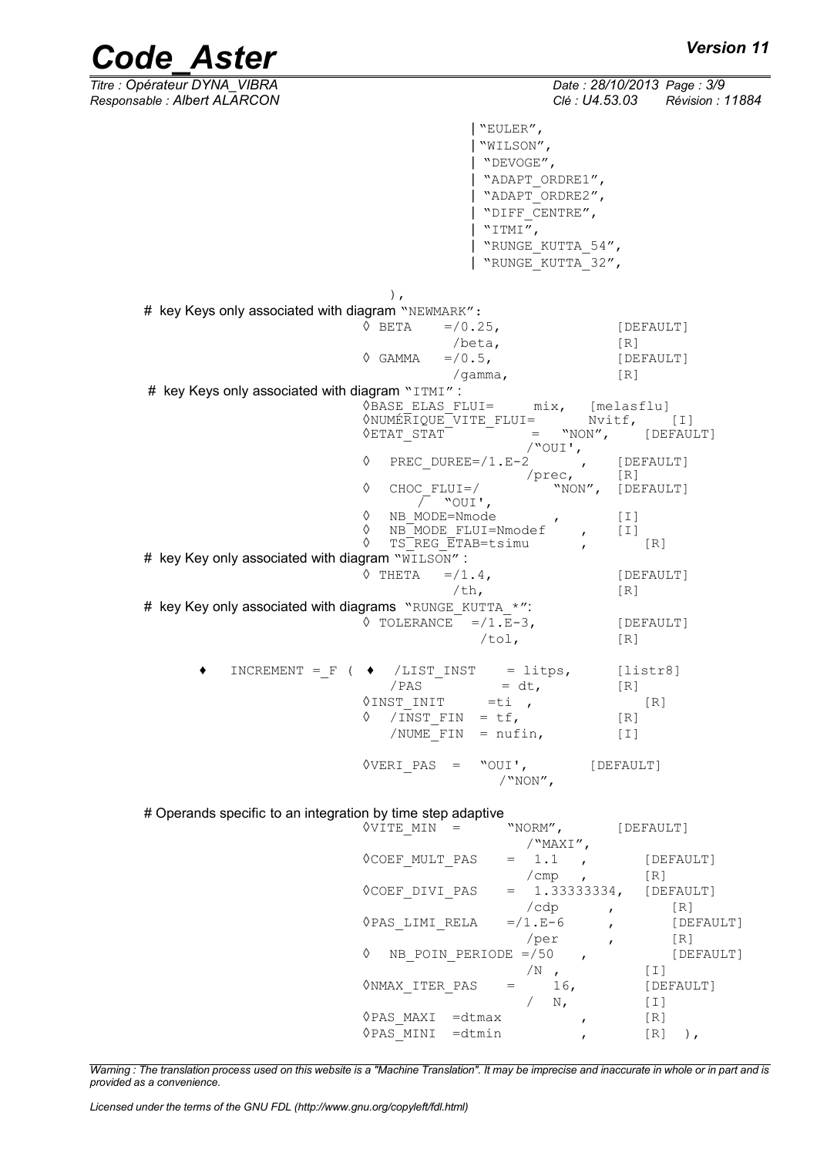*Code\_Aster Version 11*<br>Titre : Opérateur DYNA VIBRA *Date : 28/10/2013 Page : 3/9 Titre : Opérateur DYNA\_VIBRA Date : 28/10/2013 Page : 3/9 Responsable : Albert ALARCON Clé : U4.53.03 Révision : 11884*

|                                                          | "EULER",                                                                     |                                   |
|----------------------------------------------------------|------------------------------------------------------------------------------|-----------------------------------|
|                                                          | "WILSON",                                                                    |                                   |
|                                                          | "DEVOGE",<br>"ADAPT ORDRE1",                                                 |                                   |
|                                                          | "ADAPT ORDRE2",                                                              |                                   |
|                                                          | "DIFF CENTRE",                                                               |                                   |
|                                                          | "ITMI",                                                                      |                                   |
|                                                          | "RUNGE KUTTA 54",                                                            |                                   |
|                                                          | "RUNGE KUTTA 32",                                                            |                                   |
|                                                          | $\,$ ,                                                                       |                                   |
| # key Keys only associated with diagram "NEWMARK":       |                                                                              |                                   |
|                                                          | $\Diamond$ BETA<br>$=$ /0.25,                                                | [DEFAULT]                         |
|                                                          | /beta,                                                                       | [R]                               |
|                                                          | $=$ /0.5,<br>◊ GAMMA                                                         | [DEFAULT]                         |
| # key Keys only associated with diagram "ITMI":          | /gamma,                                                                      | [R]                               |
|                                                          | VBASE ELAS FLUI= mix, [melasflu]                                             |                                   |
|                                                          | WNUMÉRIQUE VITE FLUI= Nvitf, [I]                                             |                                   |
|                                                          | $\Diamond$ ETAT STAT $^-$                                                    | $=$ "NON", [DEFAULT]              |
|                                                          | /"OUI',<br>♦<br>PREC DUREE=/1.E-2<br>$\mathbf{r}$                            | [DEFAULT]                         |
|                                                          | /prec, [R]<br>"NON", [DEFAULT]<br>♦<br>$CHOC$ $FLUI=$ /<br>$\sqrt{ }$ "OUI', |                                   |
|                                                          | $\Diamond$ NB MODE=Nmode                                                     | I                                 |
|                                                          | ♦<br>$NB$ MODE FLUI=Nmodef ,                                                 | $[\;]$                            |
|                                                          | ♦<br>TS REG ETAB=tsimu<br>$\mathbf{r}$                                       | [R]                               |
| # key Key only associated with diagram "WILSON":         | ♦ ТНЕТА<br>$= / 1.4$ ,                                                       | [DEFAULT]                         |
|                                                          | $/\th$ ,                                                                     | [R]                               |
| # key Key only associated with diagrams "RUNGE_KUTTA_*": |                                                                              |                                   |
|                                                          | $\Diamond$ TOLERANCE = /1.E-3,                                               | [DEFAULT]                         |
|                                                          | /tol.                                                                        | [R]                               |
|                                                          | INCREMENT = $F$ ( $\blacklozenge$ /LIST INST = litps,                        | [liststr8]                        |
|                                                          | $= dt,$<br>/PAS                                                              | $\lceil R \rceil$                 |
|                                                          | $\Diamond$ INST INIT =ti,                                                    | [R]                               |
|                                                          | $/$ INST_FIN = tf,<br>♦                                                      | $\begin{bmatrix} R \end{bmatrix}$ |
|                                                          | /NUME FIN = $nufin,$                                                         | $[1]$                             |
|                                                          | $\Diamond$ VERI PAS = "OUI',<br>$/$ "NON",                                   | [DEFAULT]                         |

# Operands specific to an integration by time step adaptive

| OVITE MIN                    | "NORM",         |                   | [DEFAULT]         |           |
|------------------------------|-----------------|-------------------|-------------------|-----------|
|                              |                 | $\sqrt{MAXI''}$ , |                   |           |
| <b>OCOEF MULT PAS</b>        | $= 1.1$         |                   | [DEFAULT]         |           |
|                              | /cmp            |                   | [R]               |           |
| OCOEF DIVI PAS               |                 | $= 1.333333334,$  | [DEFAULT]         |           |
|                              | /cdp            |                   | [R]               |           |
| ◊PAS LIMI RELA               | $= / 1 . E - 6$ |                   |                   | [DEFAULT] |
|                              | /per            |                   | $\lceil R \rceil$ |           |
| ♦<br>NB POIN PERIODE $= /50$ |                 |                   |                   | [DEFAULT] |
|                              | /N              |                   | [ I ]             |           |
| ONMAX ITER PAS               |                 | 16,               | [DEFAULT]         |           |
|                              |                 | N,                | [I]               |           |
| ◊PAS MAXI<br>$=$ dtmax       |                 |                   | [R]               |           |
| $=$ dtmin<br>◊PAS MINI       |                 |                   | [R]               |           |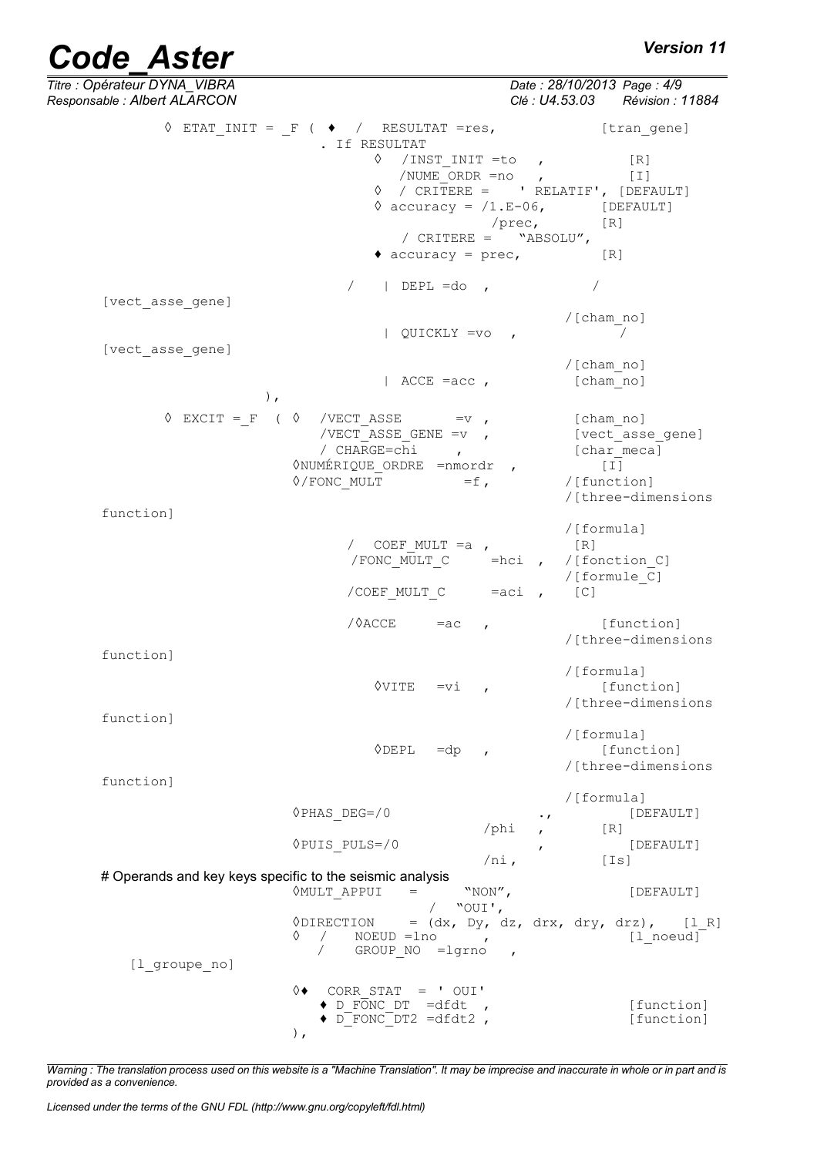| <b>Code Aster</b>                                            |                                                                              | <b>Version 11</b>                                             |
|--------------------------------------------------------------|------------------------------------------------------------------------------|---------------------------------------------------------------|
| Titre : Opérateur DYNA_VIBRA<br>Responsable : Albert ALARCON |                                                                              | Date: 28/10/2013 Page: 4/9<br>Clé : U4.53.03 Révision : 11884 |
|                                                              | $\Diamond$ ETAT INIT = F ( $\blacklozenge$ / RESULTAT =res,<br>. If RESULTAT | [tran gene]                                                   |
|                                                              | $\Diamond$ /INST INIT =to,                                                   | [R]                                                           |
|                                                              | $/$ NUME ORDR = no ,                                                         | $[1]$                                                         |
|                                                              |                                                                              | $\Diamond$ / CRITERE = ' RELATIF', [DEFAULT]                  |
|                                                              |                                                                              | $\Diamond$ accuracy = $/1.E-06$ , [DEFAULT]                   |
|                                                              |                                                                              | $/prec,$ [R]                                                  |
|                                                              | / $CRITERE =$ "ABSOLU",                                                      |                                                               |
|                                                              | $\bullet$ accuracy = prec,                                                   | [R]                                                           |
|                                                              | $\sqrt{2}$<br>$ $ DEPL =do ,                                                 |                                                               |
| [vect asse gene]                                             |                                                                              |                                                               |
|                                                              | $QUICKLY =vo$                                                                | /[cham no]                                                    |
| [vect asse gene]                                             |                                                                              |                                                               |
|                                                              |                                                                              | /[cham no]                                                    |
|                                                              | $ $ ACCE =acc,                                                               | [cham no]                                                     |
|                                                              | ),                                                                           |                                                               |
| $\Diamond$ EXCIT = F ( $\Diamond$                            | /VECT ASSE<br>$=$ v,                                                         | [cham no]                                                     |
|                                                              | /VECT ASSE GENE = $v$ ,                                                      | [vect asse gene]                                              |
|                                                              | / CHARGE=chi<br>$\mathbf{r}$                                                 | [char meca]                                                   |
|                                                              | <b>ONUMÉRIQUE ORDRE = nmordr</b> ,                                           | $[\;1]$                                                       |
|                                                              | $\Diamond$ /FONC MULT<br>$=f$ ,                                              | /[function]                                                   |
|                                                              |                                                                              | /[three-dimensions                                            |
| function]                                                    |                                                                              |                                                               |
|                                                              |                                                                              | /[formula]                                                    |
|                                                              | / COEF MULT $=a$ ,                                                           | [R]                                                           |
|                                                              |                                                                              | /FONC MULT C =hci , /[fonction C]<br>/[formule C]             |
|                                                              | /COEF MULT C                                                                 | $=$ aci,<br>[C]                                               |
|                                                              | /0ACCE                                                                       |                                                               |
|                                                              | $=ac$<br>$\mathbf{r}$                                                        | [function]<br>/[three-dimensions                              |
| function]                                                    |                                                                              |                                                               |
|                                                              |                                                                              | /[formula]                                                    |
|                                                              | ◊VITE<br>$=vi$                                                               | [function]                                                    |
|                                                              |                                                                              | /[three-dimensions                                            |
| function]                                                    |                                                                              |                                                               |
|                                                              |                                                                              | /[formula]                                                    |
|                                                              | $\lozenge$ DEPL<br>$=dp$                                                     | [function]<br>/[three-dimensions                              |
| function]                                                    |                                                                              |                                                               |
|                                                              |                                                                              | /[formula]                                                    |
|                                                              | $QPHAS$ DEG=/0                                                               | [DEFAULT]<br>$\cdot$ $\prime$                                 |
|                                                              | $/\text{phi}$                                                                | [R]                                                           |
|                                                              | <b>◊PUIS PULS=/0</b>                                                         | [DEFAULT]                                                     |
|                                                              | $/ni$ ,                                                                      | [Is]                                                          |
|                                                              | # Operands and key keys specific to the seismic analysis                     |                                                               |
|                                                              | <b>OMULT APPUI</b><br>"NON",<br>$=$<br>"OUI',                                | [DEFAULT]                                                     |
|                                                              | <i><b>ODIRECTION</b></i>                                                     | $=$ (dx, Dy, dz, drx, dry, drz), [1 R]                        |
|                                                              | ♦<br>$NOEUD = Ino$<br>$\sqrt{2}$<br>$\sim$                                   | [1 noeud]                                                     |
|                                                              | GROUP NO =lgrno                                                              |                                                               |
| [1 groupe no]                                                |                                                                              |                                                               |
|                                                              | ♦◊<br>CORR STAT = $'$ OUI'                                                   |                                                               |
|                                                              | $\bullet$ D FONC DT =dfdt                                                    | [function]                                                    |
|                                                              | $\bullet$ D FONC DT2 =dfdt2,                                                 | [function]                                                    |
|                                                              | $\,$ ,                                                                       |                                                               |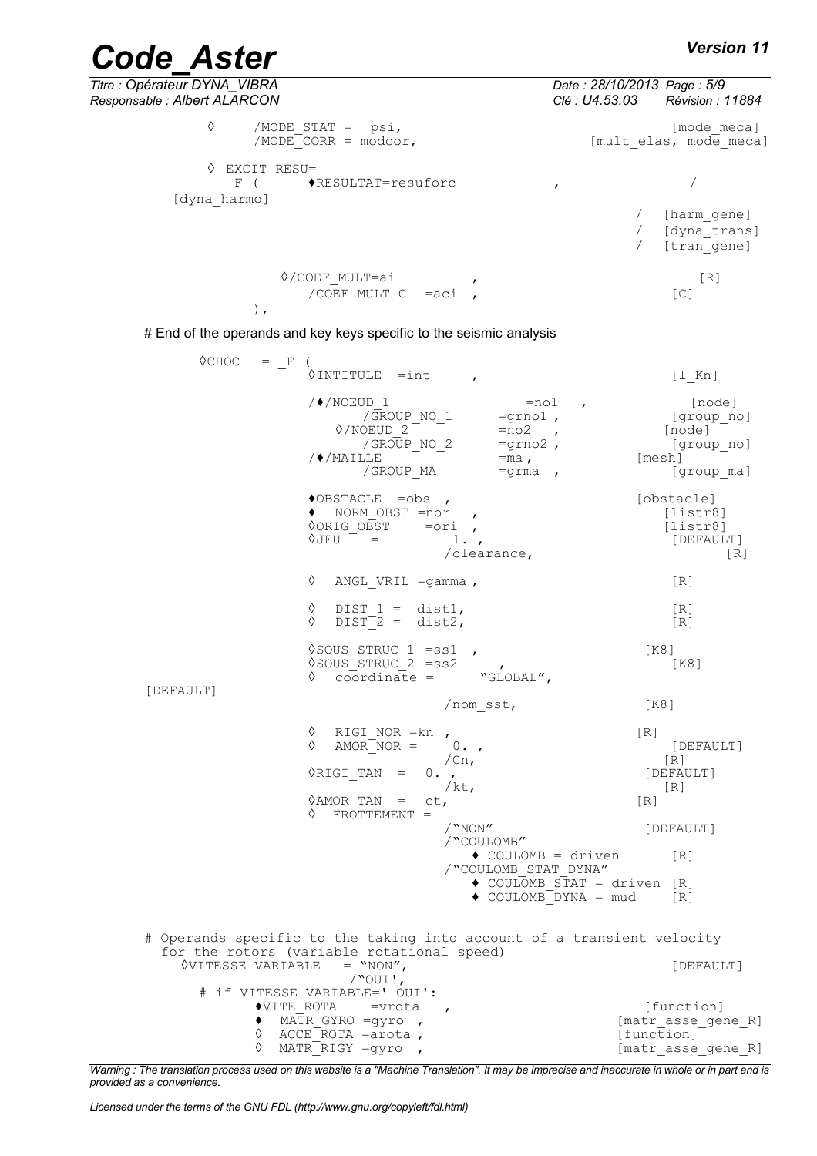| Titre : Opérateur DYNA VIBRA<br>Responsable : Albert ALARCON          |  | Date: 28/10/2013 Page: 5/9<br>Clé : U4.53.03 Révision : 11884 |
|-----------------------------------------------------------------------|--|---------------------------------------------------------------|
| ♦<br>/MODE STAT = $psi$ ,<br>$/MODE$ CORR = modcor,                   |  | [mode meca]<br>[mult elas, mode meca]                         |
| EXCIT RESU=<br>♦<br>$\blacklozenge$ RESULTAT=resuforc<br>[dyna harmo] |  |                                                               |
|                                                                       |  | [harm gene]<br>[dyna trans]<br>[tran gene]                    |
| ◊/COEF MULT=ai<br>/COEF MULT $C = aci$ ,                              |  | [R]<br>[C]                                                    |

# End of the operands and key keys specific to the seismic analysis

| $\Diamond$ CHOC<br>$=$ F                   | $\sqrt{2}$<br>$\Diamond$ INTITULE =int ,                                                                        |                                                                                                | $[1$ Kn]                                                             |
|--------------------------------------------|-----------------------------------------------------------------------------------------------------------------|------------------------------------------------------------------------------------------------|----------------------------------------------------------------------|
|                                            | $/$ $\sqrt{*}$ /NOEUD 1<br>/GROUP NO 1<br>0/NOEUD 2<br>/GROUP NO 2<br>$/$ $\blacklozenge$ / MAILLE<br>/GROUP MA | $=$ no $1$<br>$\mathbf{r}$<br>$=$ grno $1$ ,<br>$=no2$ ,<br>$=$ grno2,<br>$=$ ma,<br>$=$ grma, | [node]<br>[group_no]<br>[node]<br>[group no]<br>[mesh]<br>[group_ma] |
|                                            | $\bullet$ OBSTACLE = obs ,<br>◆ NORM OBST =nor<br><b>OORIG OBST</b><br>$\Diamond$ JEU $=$                       | $=$ ori,<br>1.7<br>/clearance,                                                                 | [obstacle]<br>[liststr8]<br>[liststr8]<br>[DEFAULT]<br>[R]           |
|                                            | ♦<br>ANGL VRIL $=$ gamma,                                                                                       |                                                                                                | [R]                                                                  |
|                                            | ♦<br>DIST $1 = \text{dist1}$ ,<br>♦<br>$DIST-2 = dist2,$                                                        |                                                                                                | $\lceil R \rceil$<br>[R]                                             |
| [DEFAULT]                                  | $\sqrt{300}$ STRUC 1 = ss1,<br>$\degree$ SOUS $\degree$ STRUC $\degree$ 2 = ss2<br>coordinate =<br>♦            | "GLOBAL",                                                                                      | [K8]<br>[K8]                                                         |
|                                            |                                                                                                                 | /nom sst,                                                                                      | [K8]                                                                 |
|                                            | ♦<br>RIGI NOR $=$ kn,<br>♦<br>AMOR NOR $=$                                                                      | $0.$ ,<br>/cn <sub>r</sub>                                                                     | [R]<br>[DEFAULT]<br>[R]                                              |
|                                            | $\Diamond$ RIGI TAN =                                                                                           | $0.$ ,<br>/ $kt$ ,                                                                             | [DEFAULT]<br>$\lceil R \rceil$                                       |
|                                            | $\Diamond$ AMOR TAN =<br>ct,<br>FROTTEMENT =<br>♦                                                               |                                                                                                | [R]                                                                  |
|                                            |                                                                                                                 | $/$ "NON"<br>/"COULOMB"                                                                        | [DEFAULT]                                                            |
|                                            |                                                                                                                 | $\bullet$ COULOMB = driven<br>/"COULOMB STAT DYNA"                                             | [R]                                                                  |
|                                            |                                                                                                                 | $\bullet$ COULOMB STAT = driven [R]<br>$\bullet$ COULOMB DYNA = mud                            | $\begin{bmatrix} R \end{bmatrix}$                                    |
| for the rotors (variable rotational speed) |                                                                                                                 | # Operands specific to the taking into account of a transient velocity                         |                                                                      |
| <b>OVITESSE VARIABLE</b>                   | $=$ "NON",<br>/"OUI',                                                                                           |                                                                                                | [DEFAULT]                                                            |
|                                            | # if VITESSE VARIABLE=' OUI':<br>◆VITE ROTA =vrota                                                              | $\overline{ }$                                                                                 | [function]                                                           |
| ♦                                          | ◆ MATR GYRO =gyro ,<br>ACCE ROTA =arota,                                                                        |                                                                                                | [matr asse gene R]<br>[function]                                     |
| ♦                                          | MATR RIGY =gyro,                                                                                                |                                                                                                | [matr asse gene R]                                                   |

*Warning : The translation process used on this website is a "Machine Translation". It may be imprecise and inaccurate in whole or in part and is provided as a convenience.*

*Licensed under the terms of the GNU FDL (http://www.gnu.org/copyleft/fdl.html)*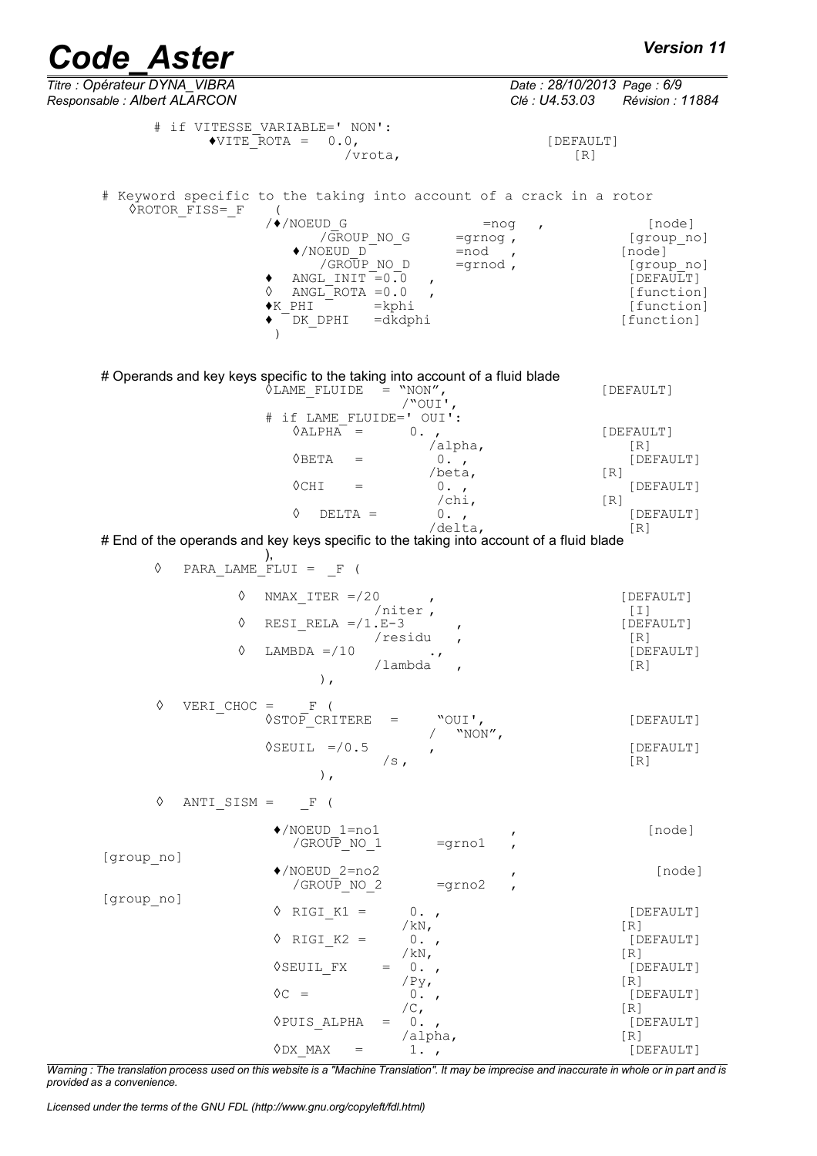*Titre : Opérateur DYNA\_VIBRA Date : 28/10/2013 Page : 6/9 Responsable : Albert ALARCON Clé : U4.53.03 Révision : 11884* # if VITESSE\_VARIABLE=' NON':  $\sqrt{\text{VITE} - \text{ROTA}} = 0.0,$  [DEFAULT] /vrota, [R] # Keyword specific to the taking into account of a crack in a rotor ◊ROTOR\_FISS=\_F (  $/$   $\blacklozenge$  /NOEUD G  $=$ nog , [node] /GROUP\_NO\_G =grnog , [group\_no]<br>OEUD D =nod , [node] (NOEUD\_D<sup>--</sup> =nod , [node]<sup>-</sup><br>(GROUP\_NO\_D =qrnod , [qroup\_no] /GROUP\_NO\_D =grnod , [group\_no] =grnod , [group\_no] = [group\_no] = [group\_no] = [  $\uparrow$  ANGL\_INIT = 0.0 ,  $\uparrow$  [DEFAULT]<br>  $\lozenge$  ANGL\_ROTA = 0.0 , [function]  $\sqrt[6]{$  ANGL<sup> $K$ </sup> ROTA = 0.0 <br> $\blacktriangleright$  EHI  $^{\text{FUTA}}$  = kphi [function] ♦ DK\_DPHI =dkdphi [function] ) # Operands and key keys specific to the taking into account of a fluid blade<br>  $\Diamond$ LAME FLUIDE = "NON",  $\lozenge$ LAME FLUIDE = "NON",  $[DEFAULT]$ /"OUI', # if LAME\_FLUIDE=' OUI':<br>\ALPHA = 0. ,  $\Diamond$ ALPHA $\bar{ }$  = 0., /alpha, [R]<br>0., [DE  $\sqrt{BETA}$  = 0., [DEFAULT] [DEFAULT]  $\frac{7}{0}$ .,  $\Diamond CHI$  = 0.,<br>  $\angle Chi$ , [DEFAULT] /chi,<br>0.,  $\Diamond$  DELTA = 0. , /delta, [R] # End of the operands and key keys specific to the taking into account of a fluid blade ), ◊ PARA\_LAME\_FLUI = \_F (  $\Diamond$  NMAX ITER =/20 , /niter , [I] (I)<br>E-3 , (DEFAULT]  $\sqrt[3]{\text{RESI}}$ RELA =/1.E-3 , [DEF<br>/residu , [R] /residu ,<br>
(R) [R] [DEFAULT]  $\Diamond$  LAMBDA =/10 .,<br>
/lambda , [R]  $/$ lambda  $\,$ ,  $\,$ ,  $\,$ ,  $\,$ ,  $\,$ ,  $\,$ ,  $\,$ ,  $\,$ ,  $\,$ ,  $\,$ ,  $\,$ ,  $\,$ ,  $\,$ ,  $\,$ ,  $\,$ ,  $\,$ ,  $\,$ ,  $\,$ ,  $\,$ ,  $\,$ ,  $\,$ ,  $\,$ ,  $\,$ ,  $\,$ ,  $\,$ ,  $\,$ ,  $\,$ ,  $\,$ ,  $\,$ ,  $\,$ ,  $\,$ ,  $\,$ ,  $\,$ ,  $\,$ ,  $\,$ ,  $\,$ ,  $\,$ , ◊ VERI\_CHOC = \_F (  $\sqrt{\text{STO}}\text{C}$  CRITERE = "OUI', [DEFAULT] / "NON",  $\sqrt{\text{SEUIL}}$  =/0.5 , [DEFAULT]  $/s$ ,  $[R]$  $\left( \begin{array}{c} 1 \end{array} \right)$ ,  $\Diamond$  ANTI SISM =  $\Box$  F ( ♦/NOEUD\_1=no1 , [node] /GROUP NO  $1$ [group\_no] ♦/NOEUD\_2=no2 , [node] /GROUP NO  $2$ [group\_no]  $\begin{array}{ccc} \Diamond & \text{RIGI\_K1} = & 0. \end{array}$ ,  $\begin{array}{ccc} \Diamond & \text{RIGI\_K1} = & 0. \end{array}$  $/kN$ ,  $[R]$  $\begin{array}{ccc} \Diamond & \text{RIGI\_K2} = & 0. \end{array}$ ,  $\begin{array}{ccc} \Diamond & \text{[DEFAULT]} \\ \land \text{kN,} \end{array}$ /kN, [R]<br>0., [DEFAULT]  $\sqrt{\text{SEUL}}_F X = 0.$ , [Default]  $\sqrt{\text{Py}}_f$  [R]  $\sqrt{\text{Py}}$ ,<br>0.,  $\begin{array}{ccc} \lozenge C & = & 0. \ \lozenge, & \lozenge, & \end{array}$  [DEFAULT]  $/C$ ,  $[R]$  $\Diamond$ PUIS\_ALPHA = 0.,<br>  $\angle$ alpha,  $\angle$  [R]  $/alpha$ ,

*Warning : The translation process used on this website is a "Machine Translation". It may be imprecise and inaccurate in whole or in part and is provided as a convenience.*

 $\Diamond$ DX MAX = 1.,

*Licensed under the terms of the GNU FDL (http://www.gnu.org/copyleft/fdl.html)*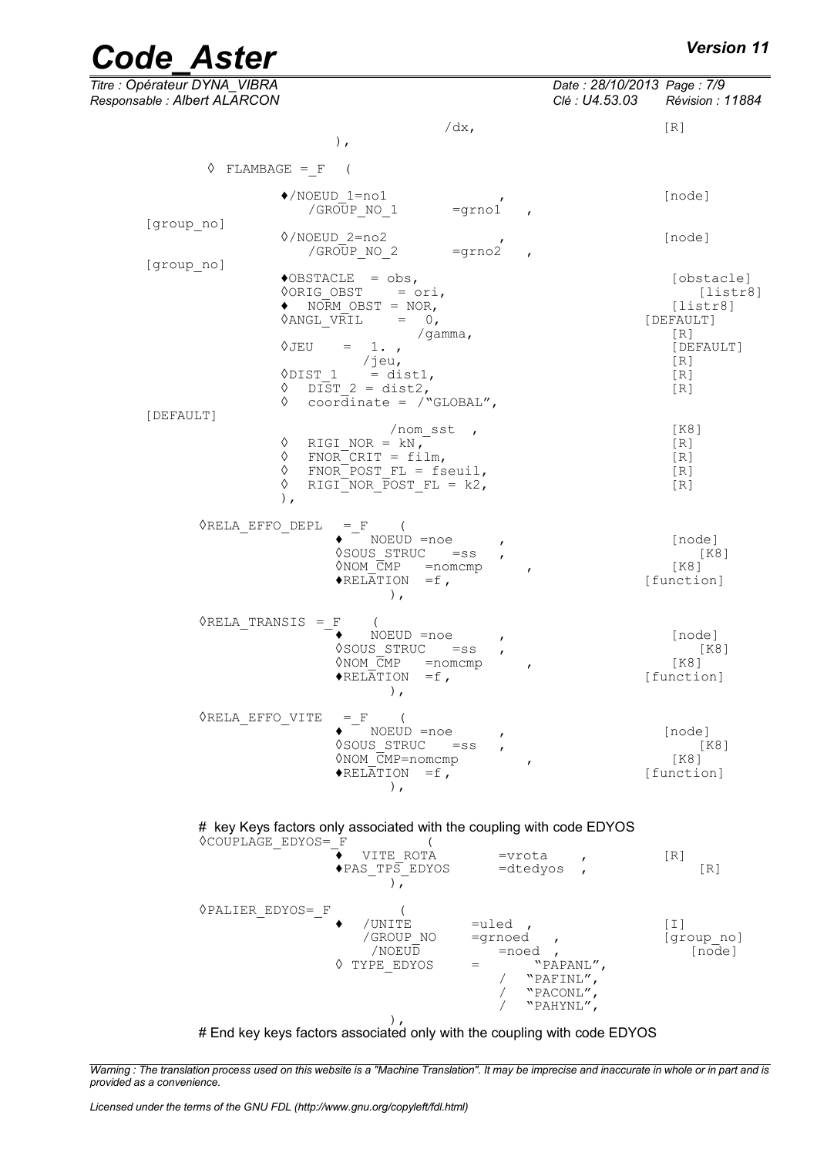| Titre : Opérateur DYNA_VIBRA<br>Responsable : Albert ALARCON |                                                                                                                                                                                                                 |                                                                                                       | Date: 28/10/2013 Page: 7/9<br>Clé : U4.53.03 | Révision : 11884                                                                             |
|--------------------------------------------------------------|-----------------------------------------------------------------------------------------------------------------------------------------------------------------------------------------------------------------|-------------------------------------------------------------------------------------------------------|----------------------------------------------|----------------------------------------------------------------------------------------------|
|                                                              | $/dx$ ,<br>$\,$ ,                                                                                                                                                                                               |                                                                                                       |                                              | [R]                                                                                          |
| $\Diamond$ FLAMBAGE = F (                                    |                                                                                                                                                                                                                 |                                                                                                       |                                              |                                                                                              |
|                                                              | $\blacklozenge$ /NOEUD 1=no1<br>$=$ grno $1$<br>/GROUP NO 1                                                                                                                                                     |                                                                                                       |                                              | [node]                                                                                       |
| [group no]                                                   | 0/NOEUD 2=no2<br>/GROUP NO 2<br>$=$ grno $2$                                                                                                                                                                    |                                                                                                       |                                              | [node]                                                                                       |
| [group no]<br>◊JEU                                           | $\triangle$ OBSTACLE = obs,<br>$\Diamond$ ORIG OBST = ori,<br>$\bullet$ NORM OBST = NOR,<br>$\Diamond ANGL$ VRIL = 0,<br>/gamma,<br>$= 1.$<br>/jeu,<br>$\Diamond$ DIST 1 = dist1,<br>$\lozenge$ DIST 2 = dist2, |                                                                                                       |                                              | [obstacle]<br>[liststr8]<br>[liststr8]<br>[DEFAULT]<br>[R]<br>[DEFAULT]<br>[R]<br>[R]<br>[R] |
| [DEFAULT]                                                    | $\Diamond$ coordinate = /"GLOBAL",<br>$/$ nom sst,                                                                                                                                                              |                                                                                                       |                                              | [K8]                                                                                         |
| ♦<br>♦<br>♦<br>♦<br>),                                       | RIGI NOR = $kN$ ,<br>$FNOR$ CRIT = film,<br>$FNOR-POST FL = fseuil,$<br>RIGI NOR $\overline{P}OST$ = k2,                                                                                                        |                                                                                                       |                                              | [R]<br>[R]<br>[R]<br>[R]                                                                     |
| <b>ORELA EFFO DEPL</b>                                       | $=$ F (<br>$\bullet$ NOEUD =noe<br>♦SOUS STRUC<br>$=$ ss<br>$\Diamond$ NOM $\overline{C}MP$ = nomcmp<br>$\blacklozenge$ RELATION = f,<br>$\,$ ,                                                                 | $\mathbf{r}$<br>$\overline{ }$                                                                        |                                              | [node]<br>[K8]<br>[K8]<br>[function]                                                         |
| $\Diamond$ RELA TRANSIS = F                                  | $\sqrt{2}$<br>NOEUD =noe<br><b>◊SOUS STRUC</b><br>$=$ ss<br>$\Diamond$ NOM $\overline{C}MP$ = nomcmp<br>$\triangle$ RELATION =f,<br>),                                                                          | $\mathbf{r}$<br>$\mathbf{r}$<br>$\mathbf{r}$                                                          |                                              | [node]<br>[K8]<br>[K8]<br>[function]                                                         |
| ORELA EFFO VITE                                              | $=$ F (<br>$\bullet$ NOEUD =noe<br>VSOUS STRUC =ss<br>$\Diamond$ NOM $\overline{C}MP$ =nomcmp<br>$\triangle$ RELATION = f,<br>$\lambda$ ,                                                                       | $\mathbf{r}$                                                                                          |                                              | [node]<br>K81<br>$K8$ ]<br>[function]                                                        |
| <b>OCOUPLAGE EDYOS= F</b>                                    | # key Keys factors only associated with the coupling with code EDYOS<br>$\left($<br>VITE ROTA<br>$\blacklozenge$ PAS TP $\overline{S}$ EDYOS<br>$\lambda$ .                                                     | =vrota<br>=dtedyos                                                                                    | $\mathbf{r}$<br>$\overline{ }$               | $\lceil R \rceil$<br>[R]                                                                     |
| <b>OPALIER EDYOS= F</b>                                      | /UNITE<br>/GROUP NO<br>/NOEUD<br>♦ TYPE EDYOS<br>$=$                                                                                                                                                            | $=$ uled,<br>=grnoed<br>$\mathbf{r}$<br>$=$ noed,<br>"PAPANL",<br>"PAFINL",<br>"PACONL",<br>"PAHYNL", |                                              | [T]<br>[group no]<br>[node]                                                                  |

), # End key keys factors associated only with the coupling with code EDYOS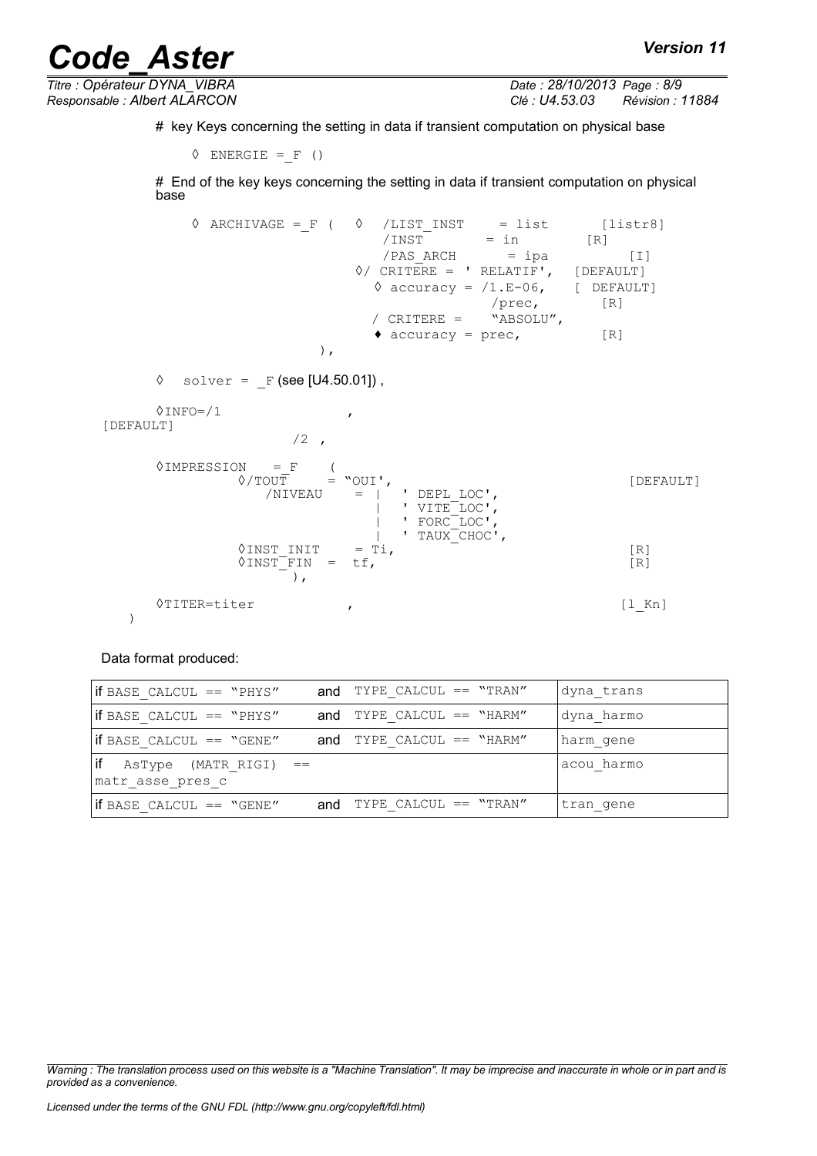*Titre : Opérateur DYNA\_VIBRA Date : 28/10/2013 Page : 8/9*

*Responsable : Albert ALARCON Clé : U4.53.03 Révision : 11884*

# key Keys concerning the setting in data if transient computation on physical base

```
\Diamond ENERGIE = F ()
```
# End of the key keys concerning the setting in data if transient computation on physical base

 $\sqrt{ART + 1}$  ARCHIVAGE =\_F (  $\sqrt{LIST - 1}$  = list [listr8]  $=$  in [R]<br> $=$  ipa  $/PAS$  ARCH = ipa [I] ◊/ CRITERE = ' RELATIF', [DEFAULT]  $\Diamond$  accuracy =  $/1.E-06$ , [ DEFAULT] /prec, [R] / CRITERE = "ABSOLU",  $\triangleleft$  accuracy = prec,  $[R]$ ),

```
\Diamond solver = F (see [U4.50.01]),
```

```
0INFO=/1[DEFAULT]
```

```
/2,
```


Data format produced:

| $ $ if BASE CALCUL == "PHYS"                                         | and TYPE CALCUL == $"TRAN"$ | dyna trans |
|----------------------------------------------------------------------|-----------------------------|------------|
| $ $ if BASE CALCUL == "PHYS"                                         | and TYPE CALCUL $==$ "HARM" | dyna harmo |
| $ $ if BASE CALCUL == "GENE"                                         | and TYPE CALCUL $==$ "HARM" | harm gene  |
| $\left  \text{if} \right $ AsType (MATR_RIGI) ==<br>matr asse pres c |                             | acou harmo |
| if BASE CALCUL == "GENE"                                             | and TYPE CALCUL == $"TRAN"$ | tran gene  |